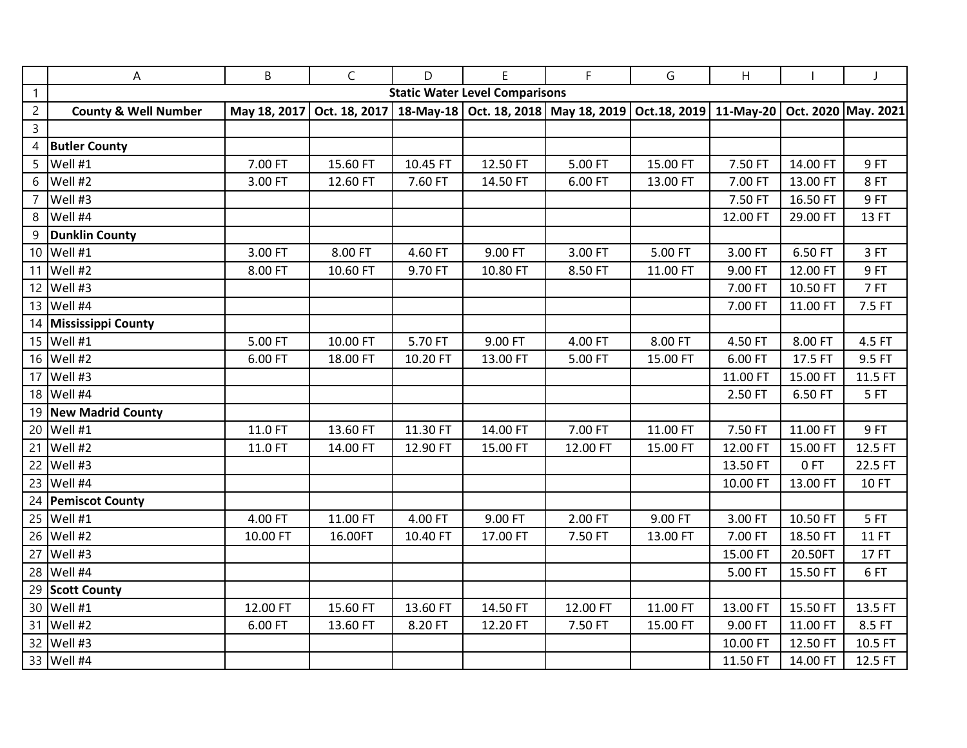|                | Α                                     | B            | $\mathsf{C}$  | D        | E                       | F.           | G            | Н         |          | J                   |
|----------------|---------------------------------------|--------------|---------------|----------|-------------------------|--------------|--------------|-----------|----------|---------------------|
| $\mathbf{1}$   | <b>Static Water Level Comparisons</b> |              |               |          |                         |              |              |           |          |                     |
| $\overline{2}$ | <b>County &amp; Well Number</b>       | May 18, 2017 | Oct. 18, 2017 |          | 18-May-18 Oct. 18, 2018 | May 18, 2019 | Oct.18, 2019 | 11-May-20 |          | Oct. 2020 May. 2021 |
| 3              |                                       |              |               |          |                         |              |              |           |          |                     |
| 4              | <b>Butler County</b>                  |              |               |          |                         |              |              |           |          |                     |
| 5              | Well #1                               | 7.00 FT      | 15.60 FT      | 10.45 FT | 12.50 FT                | 5.00 FT      | 15.00 FT     | 7.50 FT   | 14.00 FT | 9FT                 |
| 6              | Well #2                               | 3.00 FT      | 12.60 FT      | 7.60 FT  | 14.50 FT                | 6.00 FT      | 13.00 FT     | 7.00 FT   | 13.00 FT | 8FT                 |
|                | 7 Well #3                             |              |               |          |                         |              |              | 7.50 FT   | 16.50 FT | 9FT                 |
|                | 8 Well #4                             |              |               |          |                         |              |              | 12.00 FT  | 29.00 FT | 13 FT               |
| 9              | <b>Dunklin County</b>                 |              |               |          |                         |              |              |           |          |                     |
|                | 10 Well #1                            | 3.00 FT      | 8.00 FT       | 4.60 FT  | 9.00 FT                 | 3.00 FT      | 5.00 FT      | 3.00 FT   | 6.50 FT  | 3FT                 |
|                | 11 Well #2                            | 8.00 FT      | 10.60 FT      | 9.70 FT  | 10.80 FT                | 8.50 FT      | 11.00 FT     | 9.00 FT   | 12.00 FT | 9FT                 |
|                | 12 Well #3                            |              |               |          |                         |              |              | 7.00 FT   | 10.50 FT | 7FT                 |
|                | 13 Well #4                            |              |               |          |                         |              |              | 7.00 FT   | 11.00 FT | 7.5 FT              |
|                | 14 Mississippi County                 |              |               |          |                         |              |              |           |          |                     |
|                | 15 Well #1                            | 5.00 FT      | 10.00 FT      | 5.70 FT  | 9.00 FT                 | 4.00 FT      | 8.00 FT      | 4.50 FT   | 8.00 FT  | 4.5 FT              |
|                | 16 Well #2                            | 6.00 FT      | 18.00 FT      | 10.20 FT | 13.00 FT                | 5.00 FT      | 15.00 FT     | 6.00 FT   | 17.5 FT  | 9.5 FT              |
|                | 17 Well #3                            |              |               |          |                         |              |              | 11.00 FT  | 15.00 FT | 11.5 FT             |
|                | 18 Well #4                            |              |               |          |                         |              |              | 2.50 FT   | 6.50 FT  | 5FT                 |
|                | 19 New Madrid County                  |              |               |          |                         |              |              |           |          |                     |
|                | 20 Well #1                            | 11.0 FT      | 13.60 FT      | 11.30 FT | 14.00 FT                | 7.00 FT      | 11.00 FT     | 7.50 FT   | 11.00 FT | 9FT                 |
|                | 21 Well #2                            | 11.0 FT      | 14.00 FT      | 12.90 FT | 15.00 FT                | 12.00 FT     | 15.00 FT     | 12.00 FT  | 15.00 FT | 12.5 FT             |
|                | 22 Well #3                            |              |               |          |                         |              |              | 13.50 FT  | 0FT      | 22.5 FT             |
|                | 23 Well #4                            |              |               |          |                         |              |              | 10.00 FT  | 13.00 FT | <b>10 FT</b>        |
|                | 24 Pemiscot County                    |              |               |          |                         |              |              |           |          |                     |
|                | 25 Well #1                            | 4.00 FT      | 11.00 FT      | 4.00 FT  | 9.00 FT                 | 2.00 FT      | 9.00 FT      | 3.00 FT   | 10.50 FT | 5FT                 |
|                | 26 Well #2                            | 10.00 FT     | 16.00FT       | 10.40 FT | 17.00 FT                | 7.50 FT      | 13.00 FT     | 7.00 FT   | 18.50 FT | <b>11 FT</b>        |
|                | 27 Well #3                            |              |               |          |                         |              |              | 15.00 FT  | 20.50FT  | <b>17 FT</b>        |
|                | 28 Well #4                            |              |               |          |                         |              |              | 5.00 FT   | 15.50 FT | 6FT                 |
|                | 29 Scott County                       |              |               |          |                         |              |              |           |          |                     |
|                | 30 Well #1                            | 12.00 FT     | 15.60 FT      | 13.60 FT | 14.50 FT                | 12.00 FT     | 11.00 FT     | 13.00 FT  | 15.50 FT | 13.5 FT             |
|                | 31 Well #2                            | 6.00 FT      | 13.60 FT      | 8.20 FT  | 12.20 FT                | 7.50 FT      | 15.00 FT     | 9.00 FT   | 11.00 FT | 8.5 FT              |
|                | 32 Well #3                            |              |               |          |                         |              |              | 10.00 FT  | 12.50 FT | 10.5 FT             |
|                | 33 Well #4                            |              |               |          |                         |              |              | 11.50 FT  | 14.00 FT | 12.5 FT             |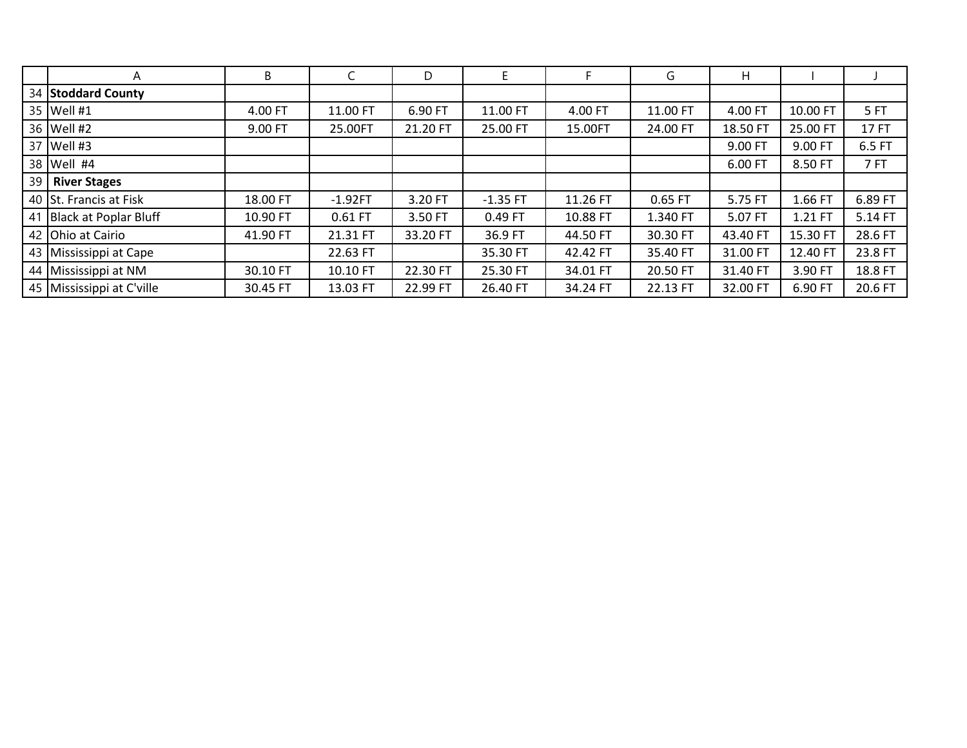|    | A                         | B        |           | D        |            |          | G        | H.       |          |         |
|----|---------------------------|----------|-----------|----------|------------|----------|----------|----------|----------|---------|
|    | 34 Stoddard County        |          |           |          |            |          |          |          |          |         |
|    | 35 Well #1                | 4.00 FT  | 11.00 FT  | 6.90 FT  | 11.00 FT   | 4.00 FT  | 11.00 FT | 4.00 FT  | 10.00 FT | 5FT     |
|    | 36 Well #2                | 9.00 FT  | 25.00FT   | 21.20 FT | 25.00 FT   | 15.00FT  | 24.00 FT | 18.50 FT | 25.00 FT | 17 FT   |
|    | 37 Well #3                |          |           |          |            |          |          | 9.00 FT  | 9.00 FT  | 6.5 FT  |
|    | 38 Well #4                |          |           |          |            |          |          | 6.00 FT  | 8.50 FT  | 7FT     |
| 39 | <b>River Stages</b>       |          |           |          |            |          |          |          |          |         |
|    | 40 St. Francis at Fisk    | 18.00 FT | $-1.92FT$ | 3.20 FT  | $-1.35$ FT | 11.26 FT | 0.65 FT  | 5.75 FT  | 1.66 FT  | 6.89 FT |
|    | 41 Black at Poplar Bluff  | 10.90 FT | $0.61$ FT | 3.50 FT  | 0.49 FT    | 10.88 FT | 1.340 FT | 5.07 FT  | 1.21 FT  | 5.14 FT |
|    | 42 Ohio at Cairio         | 41.90 FT | 21.31 FT  | 33.20 FT | 36.9 FT    | 44.50 FT | 30.30 FT | 43.40 FT | 15.30 FT | 28.6 FT |
|    | 43 Mississippi at Cape    |          | 22.63 FT  |          | 35.30 FT   | 42.42 FT | 35.40 FT | 31.00 FT | 12.40 FT | 23.8 FT |
|    | 44 Mississippi at NM      | 30.10 FT | 10.10 FT  | 22.30 FT | 25.30 FT   | 34.01 FT | 20.50 FT | 31.40 FT | 3.90 FT  | 18.8 FT |
|    | 45 Mississippi at C'ville | 30.45 FT | 13.03 FT  | 22.99 FT | 26.40 FT   | 34.24 FT | 22.13 FT | 32.00 FT | 6.90 FT  | 20.6 FT |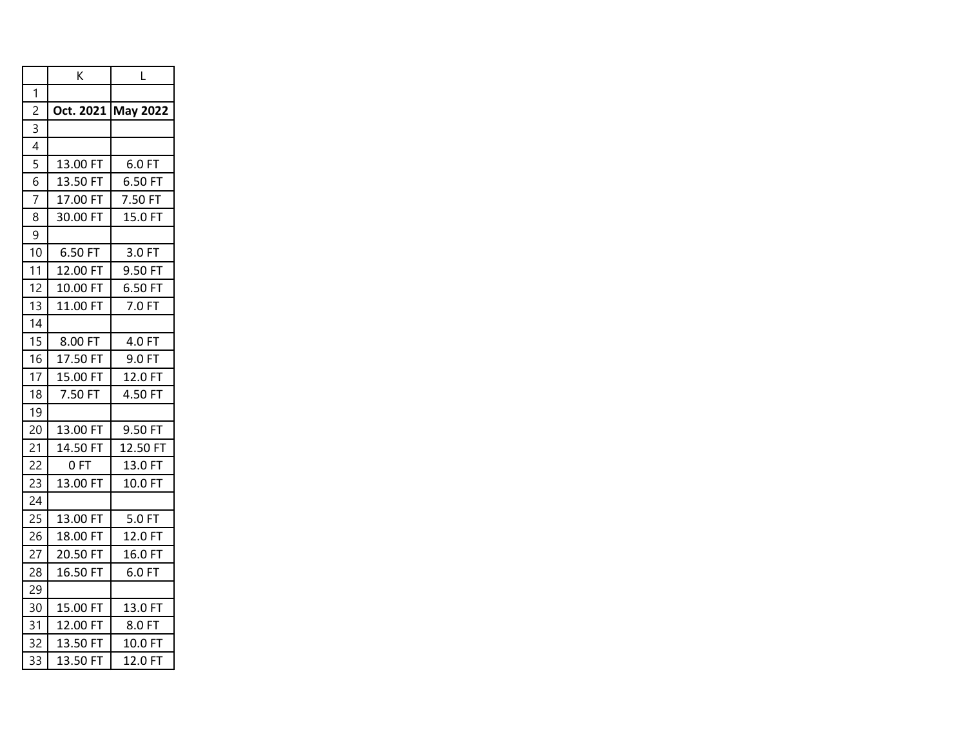|                          | Κ            | L                  |  |  |
|--------------------------|--------------|--------------------|--|--|
| 1                        |              |                    |  |  |
| $\overline{c}$           |              | Oct. 2021 May 2022 |  |  |
| 3                        |              |                    |  |  |
| $\overline{\mathcal{A}}$ |              |                    |  |  |
| $\overline{5}$           | 13.00 FT     | 6.0 FT             |  |  |
| 6                        | 13.50 FT     | 6.50 FT            |  |  |
| $\overline{7}$           | 17.00 FT     | 7.50 FT            |  |  |
| 8                        | 30.00 FT     | 15.0 FT            |  |  |
| 9                        |              |                    |  |  |
| 10                       | 6.50 FT      | 3.0 FT             |  |  |
| 11                       | 12.00 FT     | 9.50 FT            |  |  |
| 12                       | 10.00 FT     | 6.50 FT            |  |  |
| 13                       | 11.00 FT     | 7.0 FT             |  |  |
| 14                       |              |                    |  |  |
| 15                       | 8.00 FT      | 4.0 FT             |  |  |
| 16                       | 17.50 FT     | 9.0 FT             |  |  |
| 17                       | 15.00 FT     | 12.0 FT            |  |  |
| 18                       | 7.50 FT      | 4.50 FT            |  |  |
| 19                       |              |                    |  |  |
| 20                       | 13.00 FT     | 9.50 FT            |  |  |
| 21                       | 14.50 FT     | 12.50 FT           |  |  |
| 22                       | 0 FT         | 13.0 FT            |  |  |
| 23                       | 13.00 FT     | 10.0 FT            |  |  |
| 24                       |              |                    |  |  |
| 25                       | 13.00 FT     | 5.0 FT             |  |  |
| 26                       | 18.00 FT     | 12.0 FT            |  |  |
| 27                       | 20.50 FT     | 16.0 FT            |  |  |
| 28                       | 16.50 FT     | 6.0 FT             |  |  |
| 29                       |              |                    |  |  |
| 30                       | 15.00 FT     | 13.0 FT            |  |  |
| 31                       | 12.00<br>FT  | 8.0 FT             |  |  |
| 32                       | 13.50<br>FT. | 10.0 FT            |  |  |
| 33                       | FT<br>13.50  | 12.0 FT            |  |  |